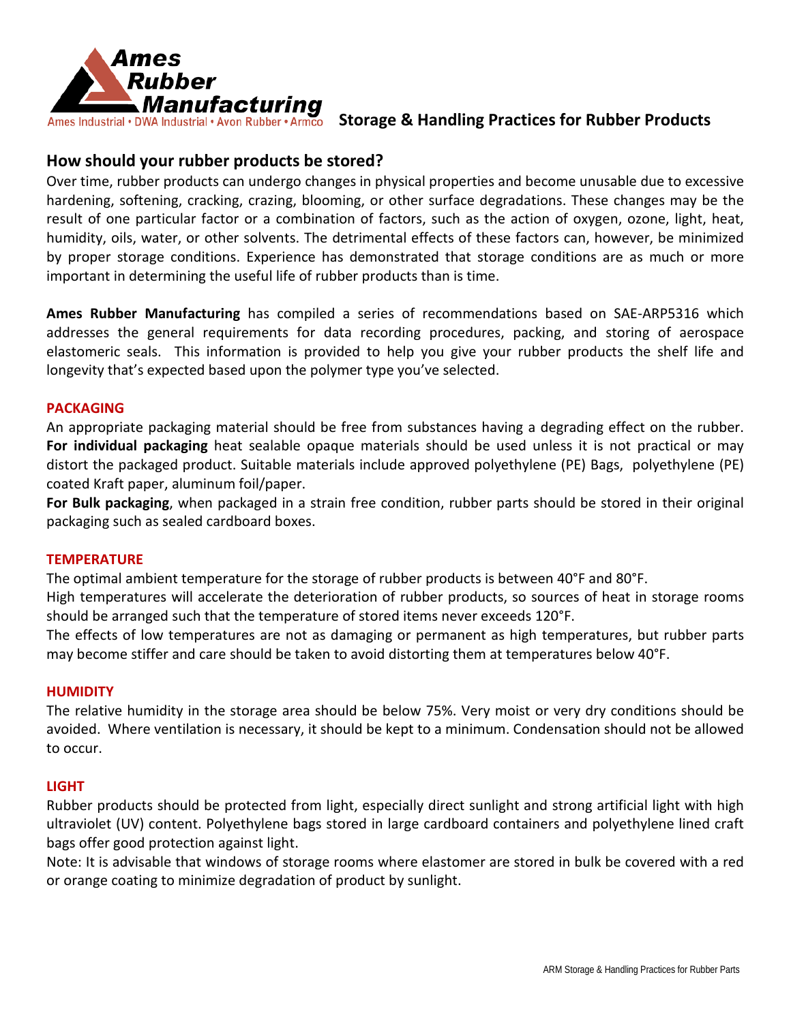

Ames Industrial • DWA Industrial • Avon Rubber • Armco Storage & Handling Practices for Rubber Products

# **How should your rubber products be stored?**

Over time, rubber products can undergo changes in physical properties and become unusable due to excessive hardening, softening, cracking, crazing, blooming, or other surface degradations. These changes may be the result of one particular factor or a combination of factors, such as the action of oxygen, ozone, light, heat, humidity, oils, water, or other solvents. The detrimental effects of these factors can, however, be minimized by proper storage conditions. Experience has demonstrated that storage conditions are as much or more important in determining the useful life of rubber products than is time.

**Ames Rubber Manufacturing** has compiled a series of recommendations based on SAE-ARP5316 which addresses the general requirements for data recording procedures, packing, and storing of aerospace elastomeric seals. This information is provided to help you give your rubber products the shelf life and longevity that's expected based upon the polymer type you've selected.

## **PACKAGING**

An appropriate packaging material should be free from substances having a degrading effect on the rubber. **For individual packaging** heat sealable opaque materials should be used unless it is not practical or may distort the packaged product. Suitable materials include approved polyethylene (PE) Bags, polyethylene (PE) coated Kraft paper, aluminum foil/paper.

**For Bulk packaging**, when packaged in a strain free condition, rubber parts should be stored in their original packaging such as sealed cardboard boxes.

## **TEMPERATURE**

The optimal ambient temperature for the storage of rubber products is between 40°F and 80°F.

High temperatures will accelerate the deterioration of rubber products, so sources of heat in storage rooms should be arranged such that the temperature of stored items never exceeds 120°F.

The effects of low temperatures are not as damaging or permanent as high temperatures, but rubber parts may become stiffer and care should be taken to avoid distorting them at temperatures below 40°F.

## **HUMIDITY**

The relative humidity in the storage area should be below 75%. Very moist or very dry conditions should be avoided. Where ventilation is necessary, it should be kept to a minimum. Condensation should not be allowed to occur.

## **LIGHT**

Rubber products should be protected from light, especially direct sunlight and strong artificial light with high ultraviolet (UV) content. Polyethylene bags stored in large cardboard containers and polyethylene lined craft bags offer good protection against light.

Note: It is advisable that windows of storage rooms where elastomer are stored in bulk be covered with a red or orange coating to minimize degradation of product by sunlight.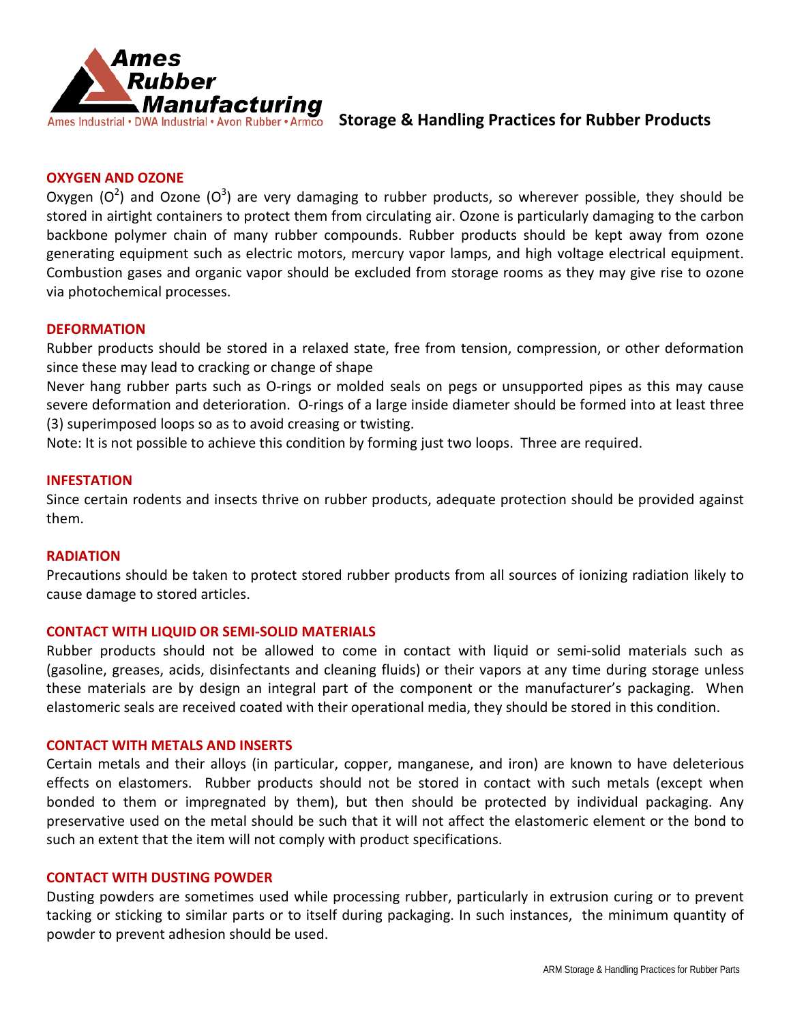

## Ames Industrial • DWA Industrial • Avon Rubber • Armco Storage & Handling Practices for Rubber Products

### **OXYGEN AND OZONE**

Oxygen (O<sup>2</sup>) and Ozone (O<sup>3</sup>) are very damaging to rubber products, so wherever possible, they should be stored in airtight containers to protect them from circulating air. Ozone is particularly damaging to the carbon backbone polymer chain of many rubber compounds. Rubber products should be kept away from ozone generating equipment such as electric motors, mercury vapor lamps, and high voltage electrical equipment. Combustion gases and organic vapor should be excluded from storage rooms as they may give rise to ozone via photochemical processes.

#### **DEFORMATION**

Rubber products should be stored in a relaxed state, free from tension, compression, or other deformation since these may lead to cracking or change of shape

Never hang rubber parts such as O-rings or molded seals on pegs or unsupported pipes as this may cause severe deformation and deterioration. O-rings of a large inside diameter should be formed into at least three (3) superimposed loops so as to avoid creasing or twisting.

Note: It is not possible to achieve this condition by forming just two loops. Three are required.

#### **INFESTATION**

Since certain rodents and insects thrive on rubber products, adequate protection should be provided against them.

### **RADIATION**

Precautions should be taken to protect stored rubber products from all sources of ionizing radiation likely to cause damage to stored articles.

#### **CONTACT WITH LIQUID OR SEMI-SOLID MATERIALS**

Rubber products should not be allowed to come in contact with liquid or semi-solid materials such as (gasoline, greases, acids, disinfectants and cleaning fluids) or their vapors at any time during storage unless these materials are by design an integral part of the component or the manufacturer's packaging. When elastomeric seals are received coated with their operational media, they should be stored in this condition.

#### **CONTACT WITH METALS AND INSERTS**

Certain metals and their alloys (in particular, copper, manganese, and iron) are known to have deleterious effects on elastomers. Rubber products should not be stored in contact with such metals (except when bonded to them or impregnated by them), but then should be protected by individual packaging. Any preservative used on the metal should be such that it will not affect the elastomeric element or the bond to such an extent that the item will not comply with product specifications.

#### **CONTACT WITH DUSTING POWDER**

Dusting powders are sometimes used while processing rubber, particularly in extrusion curing or to prevent tacking or sticking to similar parts or to itself during packaging. In such instances, the minimum quantity of powder to prevent adhesion should be used.